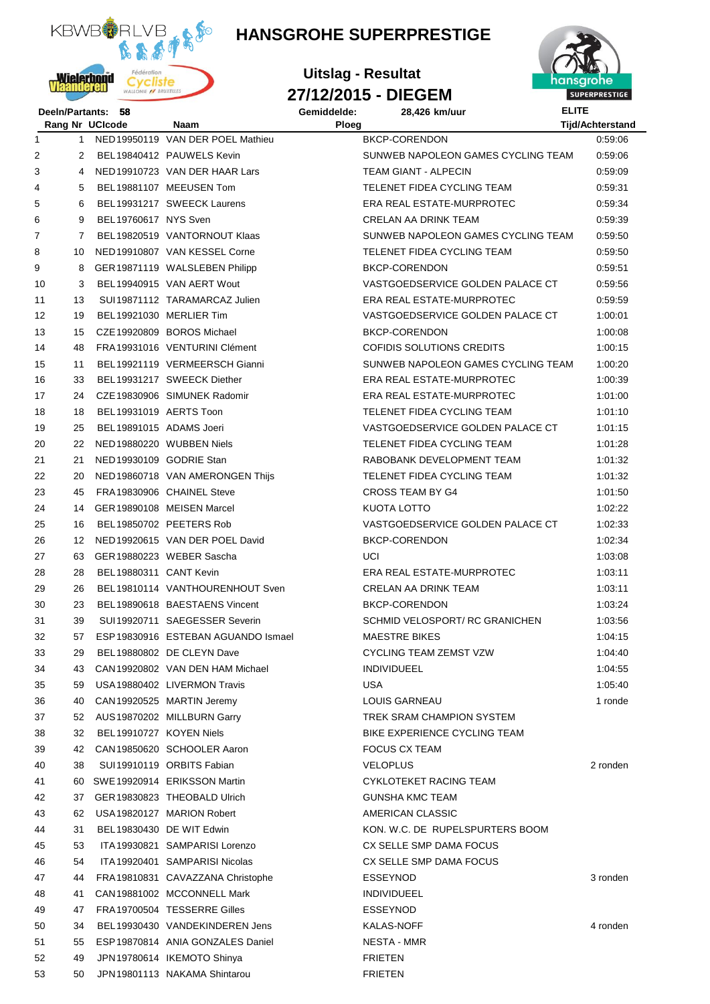

## **HANSGROHE SUPERPRESTIGE**





|    | Deeln/Partants: | 58                      |                                     | Gemiddelde: | 28,426 km/uur                      | <b>ELITE</b>            |
|----|-----------------|-------------------------|-------------------------------------|-------------|------------------------------------|-------------------------|
|    |                 | Rang Nr UCIcode         | Naam                                | Ploeg       |                                    | <b>Tijd/Achterstand</b> |
| 1  | $\mathbf{1}$    |                         | NED19950119 VAN DER POEL Mathieu    |             | <b>BKCP-CORENDON</b>               | 0.59:06                 |
| 2  | 2               |                         | BEL19840412 PAUWELS Kevin           |             | SUNWEB NAPOLEON GAMES CYCLING TEAM | 0.59.06                 |
| 3  | 4               |                         | NED19910723 VAN DER HAAR Lars       |             | <b>TEAM GIANT - ALPECIN</b>        | 0.59:09                 |
| 4  | 5               |                         | BEL19881107 MEEUSEN Tom             |             | TELENET FIDEA CYCLING TEAM         | 0:59:31                 |
| 5  | 6               |                         | BEL19931217 SWEECK Laurens          |             | ERA REAL ESTATE-MURPROTEC          | 0:59:34                 |
| 6  | 9               | BEL19760617 NYS Sven    |                                     |             | <b>CRELAN AA DRINK TEAM</b>        | 0:59:39                 |
| 7  | 7               |                         | BEL19820519 VANTORNOUT Klaas        |             | SUNWEB NAPOLEON GAMES CYCLING TEAM | 0.59.50                 |
| 8  | 10              |                         | NED19910807 VAN KESSEL Corne        |             | TELENET FIDEA CYCLING TEAM         | 0:59:50                 |
| 9  | 8               |                         | GER 19871119 WALSLEBEN Philipp      |             | BKCP-CORENDON                      | 0:59:51                 |
| 10 | 3               |                         | BEL19940915 VAN AERT Wout           |             | VASTGOEDSERVICE GOLDEN PALACE CT   | 0.59.56                 |
| 11 | 13              |                         | SUI 19871112 TARAMARCAZ Julien      |             | ERA REAL ESTATE-MURPROTEC          | 0.59:59                 |
| 12 | 19              |                         | BEL19921030 MERLIER Tim             |             | VASTGOEDSERVICE GOLDEN PALACE CT   | 1:00:01                 |
| 13 | 15              |                         | CZE 19920809 BOROS Michael          |             | <b>BKCP-CORENDON</b>               | 1:00:08                 |
| 14 | 48              |                         | FRA 19931016 VENTURINI Clément      |             | COFIDIS SOLUTIONS CREDITS          | 1:00:15                 |
| 15 | 11              |                         | BEL19921119 VERMEERSCH Gianni       |             | SUNWEB NAPOLEON GAMES CYCLING TEAM | 1:00:20                 |
| 16 | 33              |                         | BEL19931217 SWEECK Diether          |             | <b>ERA REAL ESTATE-MURPROTEC</b>   | 1:00:39                 |
| 17 | 24              |                         | CZE 19830906 SIMUNEK Radomir        |             | ERA REAL ESTATE-MURPROTEC          | 1:01:00                 |
| 18 | 18              | BEL19931019 AERTS Toon  |                                     |             | TELENET FIDEA CYCLING TEAM         | 1:01:10                 |
| 19 | 25              | BEL19891015 ADAMS Joeri |                                     |             | VASTGOEDSERVICE GOLDEN PALACE CT   | 1:01:15                 |
| 20 | 22              |                         | NED19880220 WUBBEN Niels            |             | TELENET FIDEA CYCLING TEAM         | 1:01:28                 |
| 21 | 21              | NED19930109 GODRIE Stan |                                     |             | RABOBANK DEVELOPMENT TEAM          | 1:01:32                 |
| 22 | 20              |                         | NED19860718 VAN AMERONGEN Thijs     |             | TELENET FIDEA CYCLING TEAM         | 1:01:32                 |
| 23 | 45              |                         | FRA 19830906 CHAINEL Steve          |             | <b>CROSS TEAM BY G4</b>            | 1:01:50                 |
| 24 | 14              |                         | GER19890108 MEISEN Marcel           |             | KUOTA LOTTO                        | 1:02:22                 |
| 25 | 16              |                         | BEL19850702 PEETERS Rob             |             | VASTGOEDSERVICE GOLDEN PALACE CT   | 1:02:33                 |
| 26 | 12              |                         | NED19920615 VAN DER POEL David      |             | BKCP-CORENDON                      | 1:02:34                 |
| 27 | 63              |                         | GER19880223 WEBER Sascha            |             | UCI                                | 1:03:08                 |
| 28 | 28              | BEL19880311 CANT Kevin  |                                     |             | ERA REAL ESTATE-MURPROTEC          | 1:03:11                 |
| 29 | 26              |                         | BEL19810114 VANTHOURENHOUT Sven     |             | CRELAN AA DRINK TEAM               | 1:03:11                 |
| 30 | 23              |                         | BEL19890618 BAESTAENS Vincent       |             | BKCP-CORENDON                      | 1:03:24                 |
| 31 | 39              |                         | SUI19920711 SAEGESSER Severin       |             | SCHMID VELOSPORT/ RC GRANICHEN     | 1:03:56                 |
| 32 | 57              |                         | ESP 19830916 ESTEBAN AGUANDO Ismael |             | <b>MAESTRE BIKES</b>               | 1:04:15                 |
| 33 | 29              |                         | BEL19880802 DE CLEYN Dave           |             | <b>CYCLING TEAM ZEMST VZW</b>      | 1:04:40                 |
| 34 | 43              |                         | CAN 19920802 VAN DEN HAM Michael    |             | <b>INDIVIDUEEL</b>                 | 1:04:55                 |
| 35 | 59              |                         | USA 19880402 LIVERMON Travis        |             | USA                                | 1:05:40                 |
| 36 | 40              |                         | CAN 19920525 MARTIN Jeremy          |             | LOUIS GARNEAU                      | 1 ronde                 |
|    |                 |                         |                                     |             | TREK SRAM CHAMPION SYSTEM          |                         |
| 37 | 52              |                         | AUS 19870202 MILLBURN Garry         |             | BIKE EXPERIENCE CYCLING TEAM       |                         |
| 38 | 32              | BEL19910727 KOYEN Niels |                                     |             |                                    |                         |
| 39 | 42              |                         | CAN 19850620 SCHOOLER Aaron         |             | <b>FOCUS CX TEAM</b>               |                         |
| 40 | 38              |                         | SUI 19910119 ORBITS Fabian          |             | <b>VELOPLUS</b>                    | 2 ronden                |
| 41 | 60              |                         | SWE 19920914 ERIKSSON Martin        |             | <b>CYKLOTEKET RACING TEAM</b>      |                         |
| 42 | 37              |                         | GER 19830823 THEOBALD Ulrich        |             | <b>GUNSHA KMC TEAM</b>             |                         |
| 43 | 62              |                         | USA 19820127 MARION Robert          |             | AMERICAN CLASSIC                   |                         |
| 44 | 31              |                         | BEL19830430 DE WIT Edwin            |             | KON. W.C. DE RUPELSPURTERS BOOM    |                         |
| 45 | 53              |                         | ITA 19930821 SAMPARISI Lorenzo      |             | CX SELLE SMP DAMA FOCUS            |                         |
| 46 | 54              |                         | ITA 19920401 SAMPARISI Nicolas      |             | CX SELLE SMP DAMA FOCUS            |                         |
| 47 | 44              |                         | FRA19810831 CAVAZZANA Christophe    |             | ESSEYNOD                           | 3 ronden                |
| 48 | 41              |                         | CAN 19881002 MCCONNELL Mark         |             | <b>INDIVIDUEEL</b>                 |                         |
| 49 | 47              |                         | FRA19700504 TESSERRE Gilles         |             | ESSEYNOD                           |                         |
| 50 | 34              |                         | BEL19930430 VANDEKINDEREN Jens      |             | KALAS-NOFF                         | 4 ronden                |
| 51 | 55              |                         | ESP 19870814 ANIA GONZALES Daniel   |             | NESTA - MMR                        |                         |
| 52 | 49              |                         | JPN 19780614 IKEMOTO Shinya         |             | <b>FRIETEN</b>                     |                         |
| 53 | 50              |                         | JPN 19801113 NAKAMA Shintarou       |             | <b>FRIETEN</b>                     |                         |